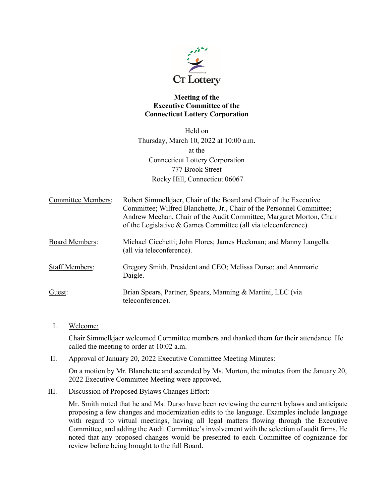

## **Meeting of the Executive Committee of the Connecticut Lottery Corporation**

Held on Thursday, March 10, 2022 at 10:00 a.m. at the Connecticut Lottery Corporation 777 Brook Street Rocky Hill, Connecticut 06067

| <b>Committee Members:</b> | Robert Simmelkjaer, Chair of the Board and Chair of the Executive<br>Committee; Wilfred Blanchette, Jr., Chair of the Personnel Committee;<br>Andrew Meehan, Chair of the Audit Committee; Margaret Morton, Chair<br>of the Legislative & Games Committee (all via teleconference). |
|---------------------------|-------------------------------------------------------------------------------------------------------------------------------------------------------------------------------------------------------------------------------------------------------------------------------------|
| <b>Board Members:</b>     | Michael Cicchetti; John Flores; James Heckman; and Manny Langella<br>(all via teleconference).                                                                                                                                                                                      |
| <b>Staff Members:</b>     | Gregory Smith, President and CEO; Melissa Durso; and Annmarie<br>Daigle.                                                                                                                                                                                                            |
| Guest:                    | Brian Spears, Partner, Spears, Manning & Martini, LLC (via<br>teleconference).                                                                                                                                                                                                      |

I. Welcome:

Chair Simmelkjaer welcomed Committee members and thanked them for their attendance. He called the meeting to order at 10:02 a.m.

II. Approval of January 20, 2022 Executive Committee Meeting Minutes:

On a motion by Mr. Blanchette and seconded by Ms. Morton, the minutes from the January 20, 2022 Executive Committee Meeting were approved.

III. Discussion of Proposed Bylaws Changes Effort:

Mr. Smith noted that he and Ms. Durso have been reviewing the current bylaws and anticipate proposing a few changes and modernization edits to the language. Examples include language with regard to virtual meetings, having all legal matters flowing through the Executive Committee, and adding the Audit Committee's involvement with the selection of audit firms. He noted that any proposed changes would be presented to each Committee of cognizance for review before being brought to the full Board.